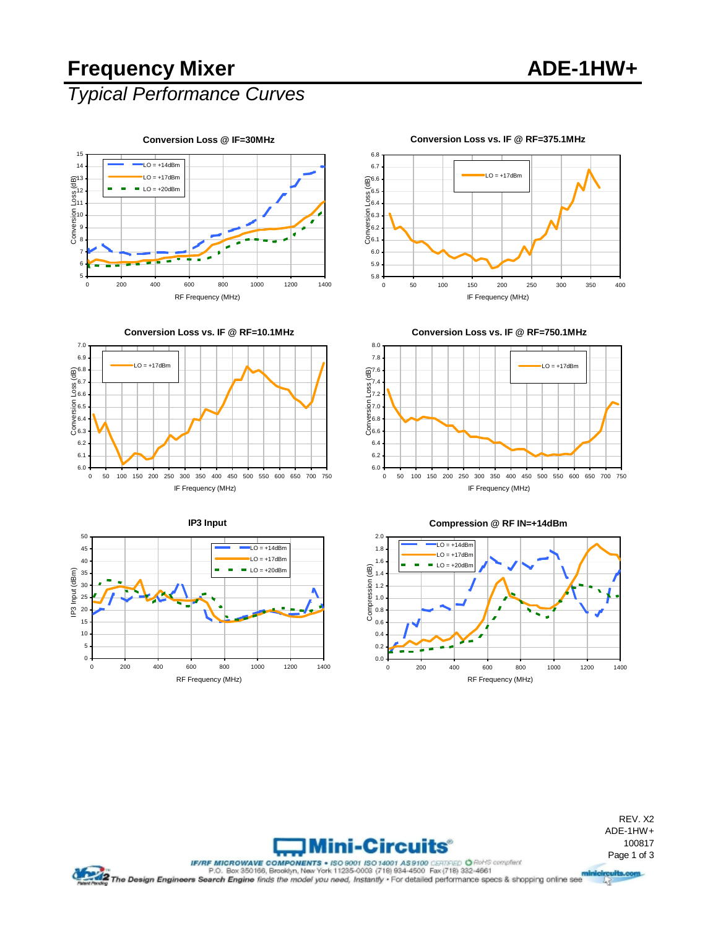## **Frequency Mixer ADE-1HW+**

### *Typical Performance Curves*



#### **Conversion Loss vs. IF @ RF=375.1MHz**





IF Frequency (MHz)

**Conversion Loss vs. IF @ RF=750.1MHz**



**IP3 Input** 50  $\overline{LO}$  = +14dBn 45  $\text{LO} = +17\text{dBm}$ 40 35  $LO = +20dBm$ IP3 Input (dBm) IP3 Input (dBm) 30 25 20 15 10 5  $\mathfrak{o}$ 0 200 400 600 800 1000 1200 1400 RF Frequency (MHz)





REV. X2 ADE-1HW+ 100817

Mini-Circuits

2.0

FIRE MICROWAVE COMPONERTY - ISO 14001 AS9100 CERREGO OF Reference Controllers (Component Component Component Component Component Component Component Component Component Component Component Component Component Component Com 哸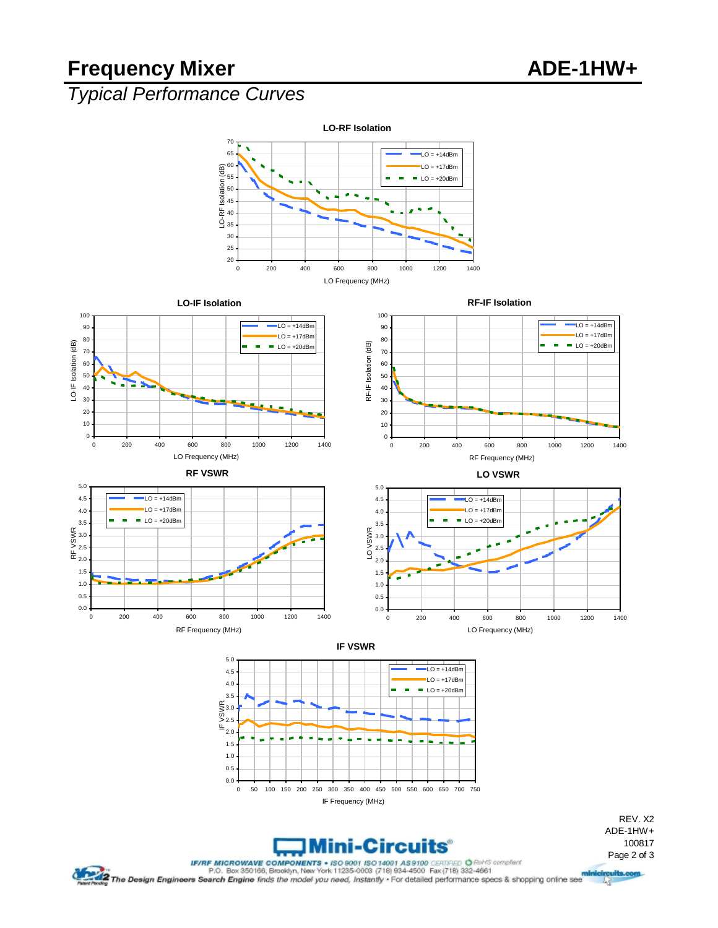# Frequency Mixer ADE-1HW+

### *Typical Performance Curves*



LO Frequency (MHz)



哸